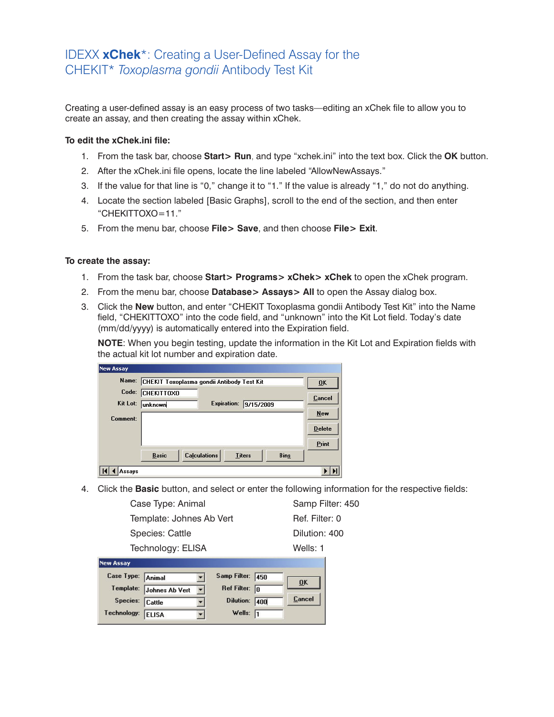## IDEXX **xChek**\*: Creating a User-Defined Assay for the CHEKIT\* *Toxoplasma gondii* Antibody Test Kit

Creating a user-defined assay is an easy process of two tasks—editing an xChek file to allow you to create an assay, and then creating the assay within xChek.

## **To edit the xChek.ini file:**

- 1. From the task bar, choose **Start> Run**, and type "xchek.ini" into the text box. Click the **OK** button.
- 2. After the xChek.ini file opens, locate the line labeled "AllowNewAssays."
- 3. If the value for that line is "0," change it to "1." If the value is already "1," do not do anything.
- 4. Locate the section labeled [Basic Graphs], scroll to the end of the section, and then enter "CHEKITTOXO=11."
- 5. From the menu bar, choose **File> Save**, and then choose **File> Exit**.

## **To create the assay:**

- 1. From the task bar, choose **Start> Programs> xChek> xChek** to open the xChek program.
- 2. From the menu bar, choose **Database> Assays> All** to open the Assay dialog box.
- 3. Click the **New** button, and enter "CHEKIT Toxoplasma gondii Antibody Test Kit" into the Name field, "CHEKITTOXO" into the code field, and "unknown" into the Kit Lot field. Today's date (mm/dd/yyyy) is automatically entered into the Expiration field.

**NOTE**: When you begin testing, update the information in the Kit Lot and Expiration fields with the actual kit lot number and expiration date.

| <b>New Assay</b>     |                   |                                            |                    |               |             |                |
|----------------------|-------------------|--------------------------------------------|--------------------|---------------|-------------|----------------|
| Name:                |                   | CHEKIT Toxoplasma gondii Antibody Test Kit |                    |               |             | 0 <sup>K</sup> |
| Code:                | <b>CHEKITTOXO</b> |                                            |                    |               |             | Cancel         |
| Kit Lot:<br>Comment: | unknown           |                                            | <b>Expiration:</b> | 9/15/2009     |             | New            |
|                      |                   |                                            |                    |               |             | <b>Delete</b>  |
|                      |                   |                                            |                    |               |             | Print          |
|                      | <b>Basic</b>      | <b>Calculations</b>                        |                    | <b>Titers</b> | <b>Bins</b> |                |
| Assavs               |                   |                                            |                    |               |             |                |

4. Click the **Basic** button, and select or enter the following information for the respective fields:

Case Type: Animal Samp Filter: 450 Template: Johnes Ab Vert Ref. Filter: 0 Species: Cattle **Dividends** Dilution: 400 Technology: ELISA Wells: 1

| <b>New Assay</b>  |                          |                |                         |     |           |
|-------------------|--------------------------|----------------|-------------------------|-----|-----------|
| Case Type: Animal |                          |                | Samp Filter: 450        |     | <b>OK</b> |
|                   | Template: Johnes Ab Vert | $\blacksquare$ | Ref Filter: $\boxed{0}$ |     |           |
| Species: Cattle   |                          |                | Dilution:               | 400 | Cancel    |
| Technology: ELISA |                          |                | Wells: $\sqrt{1}$       |     |           |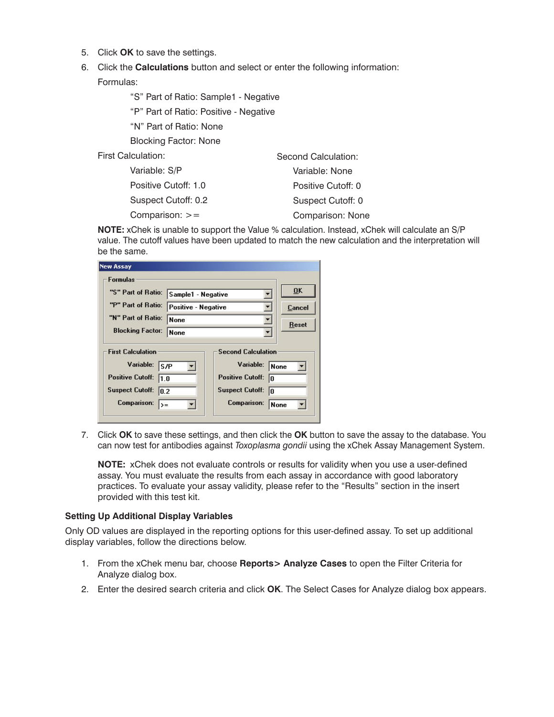- 5. Click **OK** to save the settings.
- 6. Click the **Calculations** button and select or enter the following information:

Formulas:

"S" Part of Ratio: Sample1 - Negative

"P" Part of Ratio: Positive - Negative

"N" Part of Ratio: None

Blocking Factor: None

First Calculation:

| Variable: S/P        | Variable: None     |
|----------------------|--------------------|
| Positive Cutoff: 1.0 | Positive Cutoff: 0 |
| Suspect Cutoff: 0.2  | Suspect Cutoff: 0  |
| Comparison: $>=$     | Comparison: None   |

**NOTE:** xChek is unable to support the Value % calculation. Instead, xChek will calculate an S/P value. The cutoff values have been updated to match the new calculation and the interpretation will be the same.

Second Calculation:

| <b>Formulas</b>                               |                                           |                                                                   |            |
|-----------------------------------------------|-------------------------------------------|-------------------------------------------------------------------|------------|
| "S" Part of Ratio:                            | Sample1 - Negative                        | OK<br>Cancel<br><b>Reset</b>                                      |            |
| "P" Part of Ratio:                            | <b>Positive - Negative</b><br><b>None</b> |                                                                   |            |
| "N" Part of Ratio:                            |                                           |                                                                   |            |
| <b>Blocking Factor:</b>                       | <b>None</b>                               |                                                                   |            |
| <b>First Calculation</b><br>Variable:<br>ls/P |                                           | <b>Second Calculation</b><br>Variable:<br><b>Positive Cutoff:</b> | None<br>In |

7. Click **OK** to save these settings, and then click the **OK** button to save the assay to the database. You can now test for antibodies against *Toxoplasma gondii* using the xChek Assay Management System.

**NOTE:** xChek does not evaluate controls or results for validity when you use a user-defined assay. You must evaluate the results from each assay in accordance with good laboratory practices. To evaluate your assay validity, please refer to the "Results" section in the insert provided with this test kit.

## **Setting Up Additional Display Variables**

Only OD values are displayed in the reporting options for this user-defined assay. To set up additional display variables, follow the directions below.

- 1. From the xChek menu bar, choose **Reports> Analyze Cases** to open the Filter Criteria for Analyze dialog box.
- 2. Enter the desired search criteria and click **OK**. The Select Cases for Analyze dialog box appears.